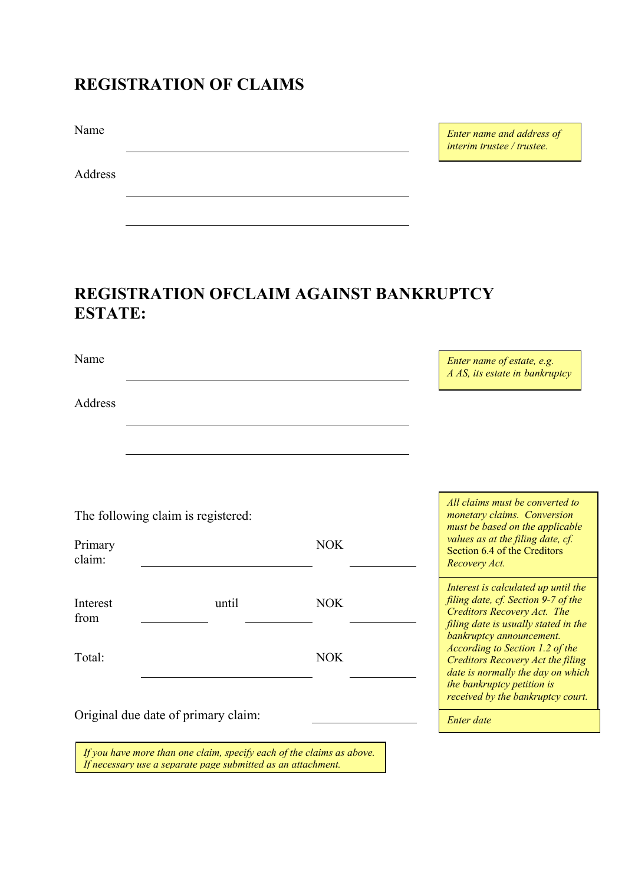## **REGISTRATION OF CLAIMS**

Name

Address

*Enter name and address of interim trustee / trustee.* 

## **REGISTRATION OFCLAIM AGAINST BANKRUPTCY ESTATE:**

Name

Address

The following claim is registered:

|       | <b>NOK</b> |  |
|-------|------------|--|
| until | <b>NOK</b> |  |
|       | <b>NOK</b> |  |
|       |            |  |

*All claims must be converted to monetary claims. Conversion must be based on the applicable values as at the filing date, cf.*  Section 6.4 of the Creditors *Recovery Act.*

*Enter name of estate, e.g. A AS, its estate in bankruptcy*

*Interest is calculated up until the filing date, cf. Section 9-7 of the Creditors Recovery Act. The filing date is usually stated in the bankruptcy announcement. According to Section 1.2 of the Creditors Recovery Act the filing date is normally the day on which the bankruptcy petition is received by the bankruptcy court.*

*Enter date*

Original due date of primary claim:

*If you have more than one claim, specify each of the claims as above. If necessary use a separate page submitted as an attachment.*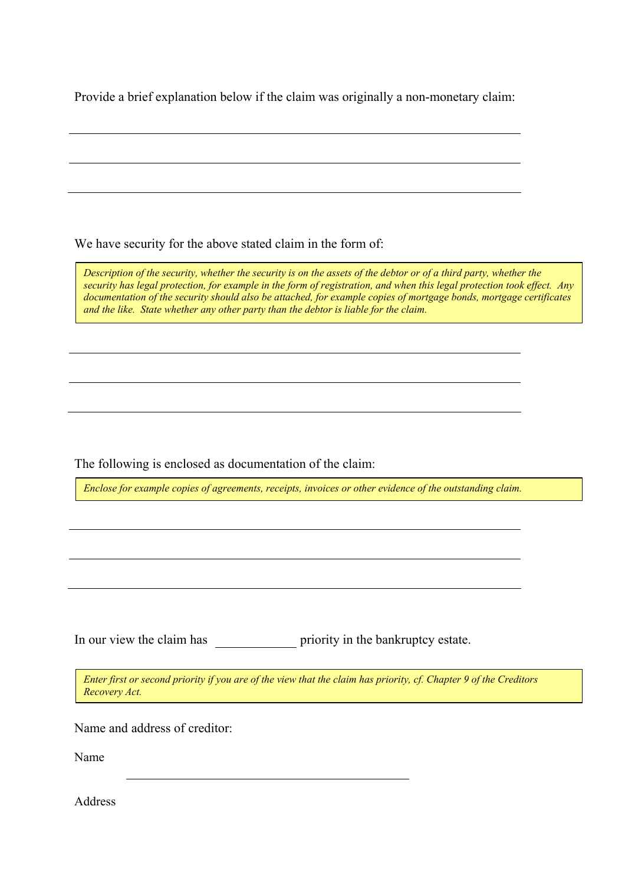Provide a brief explanation below if the claim was originally a non-monetary claim:

We have security for the above stated claim in the form of:

*Description of the security, whether the security is on the assets of the debtor or of a third party, whether the security has legal protection, for example in the form of registration, and when this legal protection took effect. Any documentation of the security should also be attached, for example copies of mortgage bonds, mortgage certificates and the like. State whether any other party than the debtor is liable for the claim.*

The following is enclosed as documentation of the claim:

*Enclose for example copies of agreements, receipts, invoices or other evidence of the outstanding claim.*

In our view the claim has priority in the bankruptcy estate.

*Enter first or second priority if you are of the view that the claim has priority, cf. Chapter 9 of the Creditors Recovery Act.*

Name and address of creditor:

Name

Address